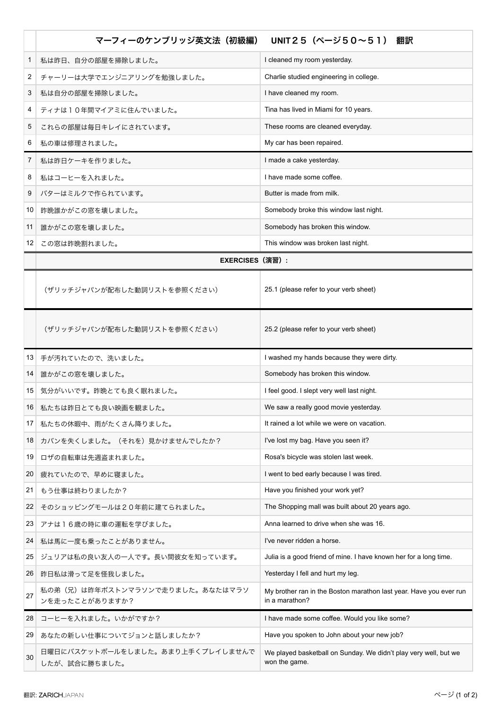|                 | マーフィーのケンブリッジ英文法(初級編)                              | UNIT25 (ページ50~51) 翻訳                                                                 |
|-----------------|---------------------------------------------------|--------------------------------------------------------------------------------------|
| 1               | 私は昨日、自分の部屋を掃除しました。                                | I cleaned my room yesterday.                                                         |
| 2               | チャーリーは大学でエンジニアリングを勉強しました。                         | Charlie studied engineering in college.                                              |
| 3               | 私は自分の部屋を掃除しました。                                   | I have cleaned my room.                                                              |
| 4               | ティナは10年間マイアミに住んでいました。                             | Tina has lived in Miami for 10 years.                                                |
| 5               | これらの部屋は毎日キレイにされています。                              | These rooms are cleaned everyday.                                                    |
| 6               | 私の車は修理されました。                                      | My car has been repaired.                                                            |
| 7               | 私は昨日ケーキを作りました。                                    | I made a cake yesterday.                                                             |
| 8               | 私はコーヒーを入れました。                                     | I have made some coffee.                                                             |
| 9               | バターはミルクで作られています。                                  | Butter is made from milk.                                                            |
| 10              | 昨晩誰かがこの窓を壊しました。                                   | Somebody broke this window last night.                                               |
| 11              | 誰かがこの窓を壊しました。                                     | Somebody has broken this window.                                                     |
| 12              | この窓は昨晩割れました。                                      | This window was broken last night.                                                   |
|                 | <b>EXERCISES (演習):</b>                            |                                                                                      |
|                 | (ザリッチジャパンが配布した動詞リストを参照ください)                       | 25.1 (please refer to your verb sheet)                                               |
|                 | (ザリッチジャパンが配布した動詞リストを参照ください)                       | 25.2 (please refer to your verb sheet)                                               |
|                 | 13 手が汚れていたので、洗いました。                               | I washed my hands because they were dirty.                                           |
| 14              | 誰かがこの窓を壊しました。                                     | Somebody has broken this window.                                                     |
| 15              | 気分がいいです。昨晩とても良く眠れました。                             | I feel good. I slept very well last night.                                           |
|                 | 16 私たちは昨日とても良い映画を観ました。                            | We saw a really good movie yesterday.                                                |
| 17 <sup>1</sup> | 私たちの休暇中、雨がたくさん降りました。                              | It rained a lot while we were on vacation.                                           |
| 18              | カバンを失くしました。(それを)見かけませんでしたか?                       | I've lost my bag. Have you seen it?                                                  |
| 19              | ロザの自転車は先週盗まれました。                                  | Rosa's bicycle was stolen last week.                                                 |
| 20              | 疲れていたので、早めに寝ました。                                  | I went to bed early because I was tired.                                             |
| 21              | もう仕事は終わりましたか?                                     | Have you finished your work yet?                                                     |
| 22              | そのショッピングモールは20年前に建てられました。                         | The Shopping mall was built about 20 years ago.                                      |
| 23              | アナは16歳の時に車の運転を学びました。                              | Anna learned to drive when she was 16.                                               |
| 24              | 私は馬に一度も乗ったことがありません。                               | I've never ridden a horse.                                                           |
| 25              | ジュリアは私の良い友人の一人です。長い間彼女を知っています。                    | Julia is a good friend of mine. I have known her for a long time.                    |
| 26              | 昨日私は滑って足を怪我しました。                                  | Yesterday I fell and hurt my leg.                                                    |
| 27              | 私の弟(兄)は昨年ボストンマラソンで走りました。あなたはマラソ<br>ンを走ったことがありますか? | My brother ran in the Boston marathon last year. Have you ever run<br>in a marathon? |
| 28              | コーヒーを入れました。いかがですか?                                | I have made some coffee. Would you like some?                                        |
| 29              | あなたの新しい仕事についてジョンと話しましたか?                          | Have you spoken to John about your new job?                                          |
| 30              | 日曜日にバスケットボールをしました。あまり上手くプレイしませんで<br>したが、試合に勝ちました。 | We played basketball on Sunday. We didn't play very well, but we<br>won the game.    |